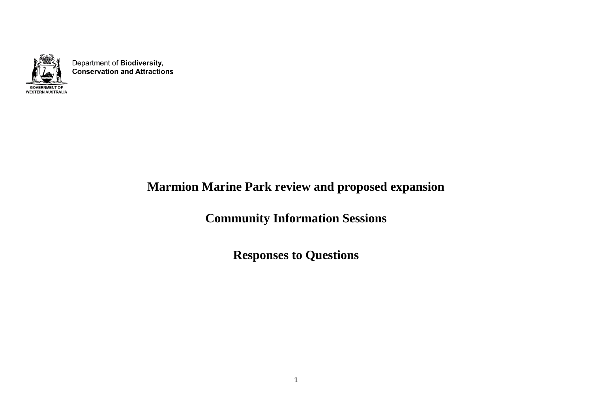

Department of Biodiversity, **Conservation and Attractions** 

## **Marmion Marine Park review and proposed expansion**

**Community Information Sessions** 

**Responses to Questions**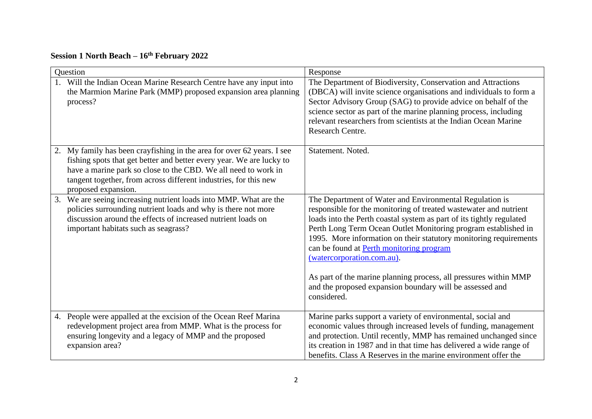## **Session 1 North Beach – 16th February 2022**

| Question                                                                                                                                                                                                                                                                                                       | Response                                                                                                                                                                                                                                                                                                                                                                                                                                                                                                                                                             |  |
|----------------------------------------------------------------------------------------------------------------------------------------------------------------------------------------------------------------------------------------------------------------------------------------------------------------|----------------------------------------------------------------------------------------------------------------------------------------------------------------------------------------------------------------------------------------------------------------------------------------------------------------------------------------------------------------------------------------------------------------------------------------------------------------------------------------------------------------------------------------------------------------------|--|
| Will the Indian Ocean Marine Research Centre have any input into<br>the Marmion Marine Park (MMP) proposed expansion area planning<br>process?                                                                                                                                                                 | The Department of Biodiversity, Conservation and Attractions<br>(DBCA) will invite science organisations and individuals to form a<br>Sector Advisory Group (SAG) to provide advice on behalf of the<br>science sector as part of the marine planning process, including<br>relevant researchers from scientists at the Indian Ocean Marine<br><b>Research Centre.</b>                                                                                                                                                                                               |  |
| My family has been crayfishing in the area for over 62 years. I see<br>2.<br>fishing spots that get better and better every year. We are lucky to<br>have a marine park so close to the CBD. We all need to work in<br>tangent together, from across different industries, for this new<br>proposed expansion. | Statement. Noted.                                                                                                                                                                                                                                                                                                                                                                                                                                                                                                                                                    |  |
| We are seeing increasing nutrient loads into MMP. What are the<br>3.<br>policies surrounding nutrient loads and why is there not more<br>discussion around the effects of increased nutrient loads on<br>important habitats such as seagrass?                                                                  | The Department of Water and Environmental Regulation is<br>responsible for the monitoring of treated wastewater and nutrient<br>loads into the Perth coastal system as part of its tightly regulated<br>Perth Long Term Ocean Outlet Monitoring program established in<br>1995. More information on their statutory monitoring requirements<br>can be found at Perth monitoring program<br>(watercorporation.com.au).<br>As part of the marine planning process, all pressures within MMP<br>and the proposed expansion boundary will be assessed and<br>considered. |  |
| 4. People were appalled at the excision of the Ocean Reef Marina<br>redevelopment project area from MMP. What is the process for<br>ensuring longevity and a legacy of MMP and the proposed<br>expansion area?                                                                                                 | Marine parks support a variety of environmental, social and<br>economic values through increased levels of funding, management<br>and protection. Until recently, MMP has remained unchanged since<br>its creation in 1987 and in that time has delivered a wide range of<br>benefits. Class A Reserves in the marine environment offer the                                                                                                                                                                                                                          |  |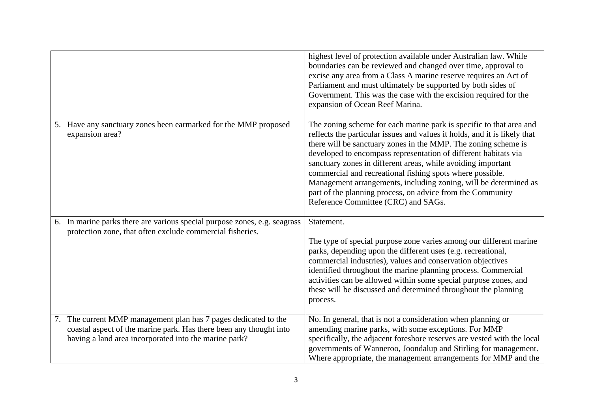|                                                                                                                                                                                                | highest level of protection available under Australian law. While<br>boundaries can be reviewed and changed over time, approval to<br>excise any area from a Class A marine reserve requires an Act of<br>Parliament and must ultimately be supported by both sides of<br>Government. This was the case with the excision required for the<br>expansion of Ocean Reef Marina.                                                                                                                                                                                                               |
|------------------------------------------------------------------------------------------------------------------------------------------------------------------------------------------------|---------------------------------------------------------------------------------------------------------------------------------------------------------------------------------------------------------------------------------------------------------------------------------------------------------------------------------------------------------------------------------------------------------------------------------------------------------------------------------------------------------------------------------------------------------------------------------------------|
| 5. Have any sanctuary zones been earmarked for the MMP proposed<br>expansion area?                                                                                                             | The zoning scheme for each marine park is specific to that area and<br>reflects the particular issues and values it holds, and it is likely that<br>there will be sanctuary zones in the MMP. The zoning scheme is<br>developed to encompass representation of different habitats via<br>sanctuary zones in different areas, while avoiding important<br>commercial and recreational fishing spots where possible.<br>Management arrangements, including zoning, will be determined as<br>part of the planning process, on advice from the Community<br>Reference Committee (CRC) and SAGs. |
| 6. In marine parks there are various special purpose zones, e.g. seagrass<br>protection zone, that often exclude commercial fisheries.                                                         | Statement.<br>The type of special purpose zone varies among our different marine<br>parks, depending upon the different uses (e.g. recreational,<br>commercial industries), values and conservation objectives<br>identified throughout the marine planning process. Commercial<br>activities can be allowed within some special purpose zones, and<br>these will be discussed and determined throughout the planning<br>process.                                                                                                                                                           |
| 7. The current MMP management plan has 7 pages dedicated to the<br>coastal aspect of the marine park. Has there been any thought into<br>having a land area incorporated into the marine park? | No. In general, that is not a consideration when planning or<br>amending marine parks, with some exceptions. For MMP<br>specifically, the adjacent foreshore reserves are vested with the local<br>governments of Wanneroo, Joondalup and Stirling for management.<br>Where appropriate, the management arrangements for MMP and the                                                                                                                                                                                                                                                        |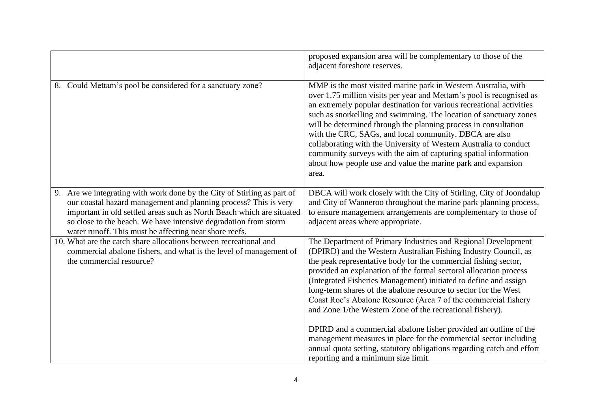|                                                                                                                                                                                                                                                                                                                                                   | proposed expansion area will be complementary to those of the<br>adjacent foreshore reserves.                                                                                                                                                                                                                                                                                                                                                                                                                                                                                                                                     |
|---------------------------------------------------------------------------------------------------------------------------------------------------------------------------------------------------------------------------------------------------------------------------------------------------------------------------------------------------|-----------------------------------------------------------------------------------------------------------------------------------------------------------------------------------------------------------------------------------------------------------------------------------------------------------------------------------------------------------------------------------------------------------------------------------------------------------------------------------------------------------------------------------------------------------------------------------------------------------------------------------|
| 8. Could Mettam's pool be considered for a sanctuary zone?                                                                                                                                                                                                                                                                                        | MMP is the most visited marine park in Western Australia, with<br>over 1.75 million visits per year and Mettam's pool is recognised as<br>an extremely popular destination for various recreational activities<br>such as snorkelling and swimming. The location of sanctuary zones<br>will be determined through the planning process in consultation<br>with the CRC, SAGs, and local community. DBCA are also<br>collaborating with the University of Western Australia to conduct<br>community surveys with the aim of capturing spatial information<br>about how people use and value the marine park and expansion<br>area. |
| 9. Are we integrating with work done by the City of Stirling as part of<br>our coastal hazard management and planning process? This is very<br>important in old settled areas such as North Beach which are situated<br>so close to the beach. We have intensive degradation from storm<br>water runoff. This must be affecting near shore reefs. | DBCA will work closely with the City of Stirling, City of Joondalup<br>and City of Wanneroo throughout the marine park planning process,<br>to ensure management arrangements are complementary to those of<br>adjacent areas where appropriate.                                                                                                                                                                                                                                                                                                                                                                                  |
| 10. What are the catch share allocations between recreational and<br>commercial abalone fishers, and what is the level of management of<br>the commercial resource?                                                                                                                                                                               | The Department of Primary Industries and Regional Development<br>(DPIRD) and the Western Australian Fishing Industry Council, as<br>the peak representative body for the commercial fishing sector,<br>provided an explanation of the formal sectoral allocation process<br>(Integrated Fisheries Management) initiated to define and assign<br>long-term shares of the abalone resource to sector for the West<br>Coast Roe's Abalone Resource (Area 7 of the commercial fishery<br>and Zone 1/the Western Zone of the recreational fishery).                                                                                    |
|                                                                                                                                                                                                                                                                                                                                                   | DPIRD and a commercial abalone fisher provided an outline of the<br>management measures in place for the commercial sector including<br>annual quota setting, statutory obligations regarding catch and effort<br>reporting and a minimum size limit.                                                                                                                                                                                                                                                                                                                                                                             |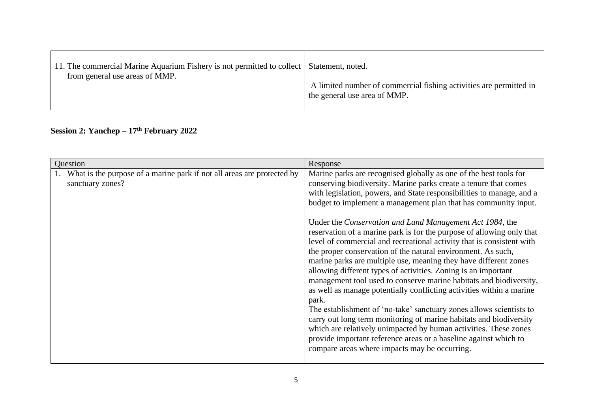| 11. The commercial Marine Aquarium Fishery is not permitted to collect   Statement, noted. |                                                                                                    |
|--------------------------------------------------------------------------------------------|----------------------------------------------------------------------------------------------------|
| from general use areas of MMP.                                                             | A limited number of commercial fishing activities are permitted in<br>the general use area of MMP. |

## **Session 2: Yanchep – 17th February 2022**

| Question                                                                                   | Response                                                                                                                                                                                                                                                                                                                                                                                                                                                                                                                                                                                                                                                                                                                                                                                                                                                                                                                                                                                                                                                                                                                                                                                           |
|--------------------------------------------------------------------------------------------|----------------------------------------------------------------------------------------------------------------------------------------------------------------------------------------------------------------------------------------------------------------------------------------------------------------------------------------------------------------------------------------------------------------------------------------------------------------------------------------------------------------------------------------------------------------------------------------------------------------------------------------------------------------------------------------------------------------------------------------------------------------------------------------------------------------------------------------------------------------------------------------------------------------------------------------------------------------------------------------------------------------------------------------------------------------------------------------------------------------------------------------------------------------------------------------------------|
| What is the purpose of a marine park if not all areas are protected by<br>sanctuary zones? | Marine parks are recognised globally as one of the best tools for<br>conserving biodiversity. Marine parks create a tenure that comes<br>with legislation, powers, and State responsibilities to manage, and a<br>budget to implement a management plan that has community input.<br>Under the Conservation and Land Management Act 1984, the<br>reservation of a marine park is for the purpose of allowing only that<br>level of commercial and recreational activity that is consistent with<br>the proper conservation of the natural environment. As such,<br>marine parks are multiple use, meaning they have different zones<br>allowing different types of activities. Zoning is an important<br>management tool used to conserve marine habitats and biodiversity,<br>as well as manage potentially conflicting activities within a marine<br>park.<br>The establishment of 'no-take' sanctuary zones allows scientists to<br>carry out long term monitoring of marine habitats and biodiversity<br>which are relatively unimpacted by human activities. These zones<br>provide important reference areas or a baseline against which to<br>compare areas where impacts may be occurring. |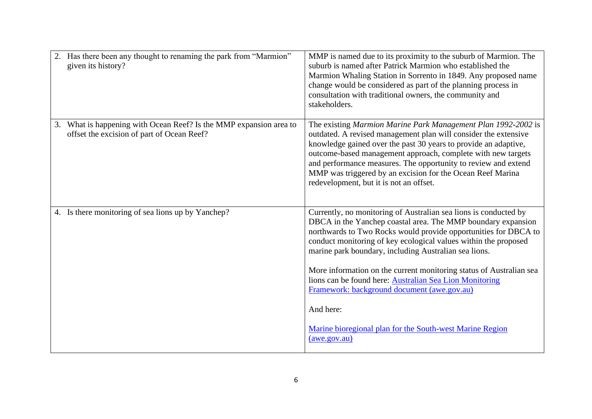| 2. Has there been any thought to renaming the park from "Marmion"<br>given its history?                          | MMP is named due to its proximity to the suburb of Marmion. The<br>suburb is named after Patrick Marmion who established the<br>Marmion Whaling Station in Sorrento in 1849. Any proposed name<br>change would be considered as part of the planning process in<br>consultation with traditional owners, the community and<br>stakeholders.                                                                                                    |
|------------------------------------------------------------------------------------------------------------------|------------------------------------------------------------------------------------------------------------------------------------------------------------------------------------------------------------------------------------------------------------------------------------------------------------------------------------------------------------------------------------------------------------------------------------------------|
| 3. What is happening with Ocean Reef? Is the MMP expansion area to<br>offset the excision of part of Ocean Reef? | The existing Marmion Marine Park Management Plan 1992-2002 is<br>outdated. A revised management plan will consider the extensive<br>knowledge gained over the past 30 years to provide an adaptive,<br>outcome-based management approach, complete with new targets<br>and performance measures. The opportunity to review and extend<br>MMP was triggered by an excision for the Ocean Reef Marina<br>redevelopment, but it is not an offset. |
| 4. Is there monitoring of sea lions up by Yanchep?                                                               | Currently, no monitoring of Australian sea lions is conducted by<br>DBCA in the Yanchep coastal area. The MMP boundary expansion<br>northwards to Two Rocks would provide opportunities for DBCA to<br>conduct monitoring of key ecological values within the proposed<br>marine park boundary, including Australian sea lions.                                                                                                                |
|                                                                                                                  | More information on the current monitoring status of Australian sea<br>lions can be found here: Australian Sea Lion Monitoring<br>Framework: background document (awe.gov.au)                                                                                                                                                                                                                                                                  |
|                                                                                                                  | And here:                                                                                                                                                                                                                                                                                                                                                                                                                                      |
|                                                                                                                  | Marine bioregional plan for the South-west Marine Region<br>(awe.gov.au)                                                                                                                                                                                                                                                                                                                                                                       |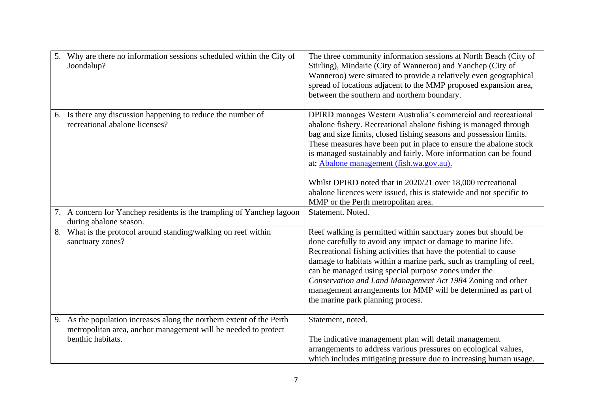| 5. | Why are there no information sessions scheduled within the City of<br>Joondalup?                                                                             | The three community information sessions at North Beach (City of<br>Stirling), Mindarie (City of Wanneroo) and Yanchep (City of<br>Wanneroo) were situated to provide a relatively even geographical<br>spread of locations adjacent to the MMP proposed expansion area,<br>between the southern and northern boundary.                                                                                                                                                                                                                                                   |
|----|--------------------------------------------------------------------------------------------------------------------------------------------------------------|---------------------------------------------------------------------------------------------------------------------------------------------------------------------------------------------------------------------------------------------------------------------------------------------------------------------------------------------------------------------------------------------------------------------------------------------------------------------------------------------------------------------------------------------------------------------------|
|    | 6. Is there any discussion happening to reduce the number of<br>recreational abalone licenses?                                                               | DPIRD manages Western Australia's commercial and recreational<br>abalone fishery. Recreational abalone fishing is managed through<br>bag and size limits, closed fishing seasons and possession limits.<br>These measures have been put in place to ensure the abalone stock<br>is managed sustainably and fairly. More information can be found<br>at: Abalone management (fish.wa.gov.au).<br>Whilst DPIRD noted that in 2020/21 over 18,000 recreational<br>abalone licences were issued, this is statewide and not specific to<br>MMP or the Perth metropolitan area. |
|    | 7. A concern for Yanchep residents is the trampling of Yanchep lagoon<br>during abalone season.                                                              | Statement. Noted.                                                                                                                                                                                                                                                                                                                                                                                                                                                                                                                                                         |
| 8. | What is the protocol around standing/walking on reef within<br>sanctuary zones?                                                                              | Reef walking is permitted within sanctuary zones but should be<br>done carefully to avoid any impact or damage to marine life.<br>Recreational fishing activities that have the potential to cause<br>damage to habitats within a marine park, such as trampling of reef,<br>can be managed using special purpose zones under the<br>Conservation and Land Management Act 1984 Zoning and other<br>management arrangements for MMP will be determined as part of<br>the marine park planning process.                                                                     |
|    | 9. As the population increases along the northern extent of the Perth<br>metropolitan area, anchor management will be needed to protect<br>benthic habitats. | Statement, noted.<br>The indicative management plan will detail management<br>arrangements to address various pressures on ecological values,<br>which includes mitigating pressure due to increasing human usage.                                                                                                                                                                                                                                                                                                                                                        |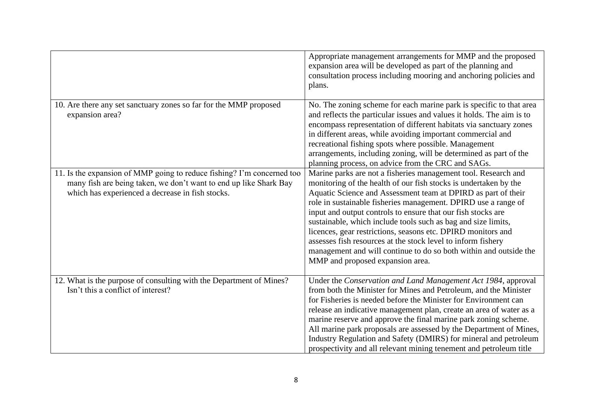|                                                                                                                                                                                                 | Appropriate management arrangements for MMP and the proposed<br>expansion area will be developed as part of the planning and<br>consultation process including mooring and anchoring policies and<br>plans.                                                                                                                                                                                                                                                                                                                                                                                                                                     |
|-------------------------------------------------------------------------------------------------------------------------------------------------------------------------------------------------|-------------------------------------------------------------------------------------------------------------------------------------------------------------------------------------------------------------------------------------------------------------------------------------------------------------------------------------------------------------------------------------------------------------------------------------------------------------------------------------------------------------------------------------------------------------------------------------------------------------------------------------------------|
| 10. Are there any set sanctuary zones so far for the MMP proposed<br>expansion area?                                                                                                            | No. The zoning scheme for each marine park is specific to that area<br>and reflects the particular issues and values it holds. The aim is to<br>encompass representation of different habitats via sanctuary zones<br>in different areas, while avoiding important commercial and<br>recreational fishing spots where possible. Management<br>arrangements, including zoning, will be determined as part of the<br>planning process, on advice from the CRC and SAGs.                                                                                                                                                                           |
| 11. Is the expansion of MMP going to reduce fishing? I'm concerned too<br>many fish are being taken, we don't want to end up like Shark Bay<br>which has experienced a decrease in fish stocks. | Marine parks are not a fisheries management tool. Research and<br>monitoring of the health of our fish stocks is undertaken by the<br>Aquatic Science and Assessment team at DPIRD as part of their<br>role in sustainable fisheries management. DPIRD use a range of<br>input and output controls to ensure that our fish stocks are<br>sustainable, which include tools such as bag and size limits,<br>licences, gear restrictions, seasons etc. DPIRD monitors and<br>assesses fish resources at the stock level to inform fishery<br>management and will continue to do so both within and outside the<br>MMP and proposed expansion area. |
| 12. What is the purpose of consulting with the Department of Mines?<br>Isn't this a conflict of interest?                                                                                       | Under the Conservation and Land Management Act 1984, approval<br>from both the Minister for Mines and Petroleum, and the Minister<br>for Fisheries is needed before the Minister for Environment can<br>release an indicative management plan, create an area of water as a<br>marine reserve and approve the final marine park zoning scheme.<br>All marine park proposals are assessed by the Department of Mines,<br>Industry Regulation and Safety (DMIRS) for mineral and petroleum<br>prospectivity and all relevant mining tenement and petroleum title                                                                                  |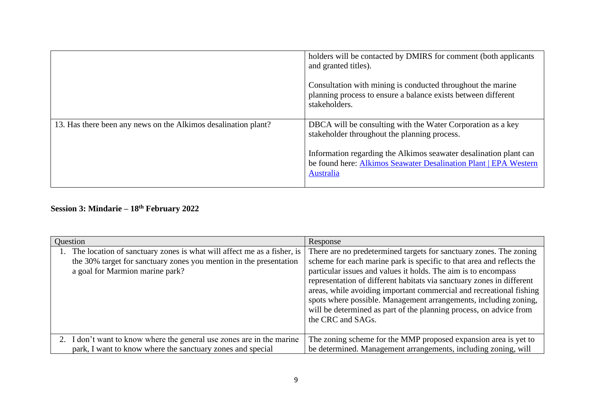|                                                                | holders will be contacted by DMIRS for comment (both applicants<br>and granted titles).                                                            |
|----------------------------------------------------------------|----------------------------------------------------------------------------------------------------------------------------------------------------|
|                                                                | Consultation with mining is conducted throughout the marine<br>planning process to ensure a balance exists between different<br>stakeholders.      |
| 13. Has there been any news on the Alkimos desalination plant? | DBCA will be consulting with the Water Corporation as a key<br>stakeholder throughout the planning process.                                        |
|                                                                | Information regarding the Alkimos seawater desalination plant can<br>be found here: Alkimos Seawater Desalination Plant   EPA Western<br>Australia |

## **Session 3: Mindarie – 18th February 2022**

| Question                                                                                                                                                                           | Response                                                                                                                                                                                                                                                                                                                                                                                                                                                                                                                     |
|------------------------------------------------------------------------------------------------------------------------------------------------------------------------------------|------------------------------------------------------------------------------------------------------------------------------------------------------------------------------------------------------------------------------------------------------------------------------------------------------------------------------------------------------------------------------------------------------------------------------------------------------------------------------------------------------------------------------|
| 1. The location of sanctuary zones is what will affect me as a fisher, is<br>the 30% target for sanctuary zones you mention in the presentation<br>a goal for Marmion marine park? | There are no predetermined targets for sanctuary zones. The zoning<br>scheme for each marine park is specific to that area and reflects the<br>particular issues and values it holds. The aim is to encompass<br>representation of different habitats via sanctuary zones in different<br>areas, while avoiding important commercial and recreational fishing<br>spots where possible. Management arrangements, including zoning,<br>will be determined as part of the planning process, on advice from<br>the CRC and SAGs. |
| 2. I don't want to know where the general use zones are in the marine<br>park, I want to know where the sanctuary zones and special                                                | The zoning scheme for the MMP proposed expansion area is yet to<br>be determined. Management arrangements, including zoning, will                                                                                                                                                                                                                                                                                                                                                                                            |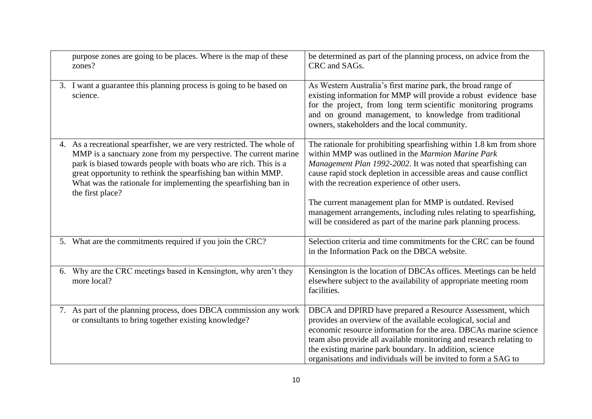| purpose zones are going to be places. Where is the map of these<br>zones?                                                                                                                                                                                                                                                                                             | be determined as part of the planning process, on advice from the<br>CRC and SAGs.                                                                                                                                                                                                                                                                                                                                                                                                                                      |
|-----------------------------------------------------------------------------------------------------------------------------------------------------------------------------------------------------------------------------------------------------------------------------------------------------------------------------------------------------------------------|-------------------------------------------------------------------------------------------------------------------------------------------------------------------------------------------------------------------------------------------------------------------------------------------------------------------------------------------------------------------------------------------------------------------------------------------------------------------------------------------------------------------------|
| 3. I want a guarantee this planning process is going to be based on<br>science.                                                                                                                                                                                                                                                                                       | As Western Australia's first marine park, the broad range of<br>existing information for MMP will provide a robust evidence base<br>for the project, from long term scientific monitoring programs<br>and on ground management, to knowledge from traditional<br>owners, stakeholders and the local community.                                                                                                                                                                                                          |
| 4. As a recreational spearfisher, we are very restricted. The whole of<br>MMP is a sanctuary zone from my perspective. The current marine<br>park is biased towards people with boats who are rich. This is a<br>great opportunity to rethink the spearfishing ban within MMP.<br>What was the rationale for implementing the spearfishing ban in<br>the first place? | The rationale for prohibiting spearfishing within 1.8 km from shore<br>within MMP was outlined in the Marmion Marine Park<br>Management Plan 1992-2002. It was noted that spearfishing can<br>cause rapid stock depletion in accessible areas and cause conflict<br>with the recreation experience of other users.<br>The current management plan for MMP is outdated. Revised<br>management arrangements, including rules relating to spearfishing,<br>will be considered as part of the marine park planning process. |
| 5. What are the commitments required if you join the CRC?                                                                                                                                                                                                                                                                                                             | Selection criteria and time commitments for the CRC can be found<br>in the Information Pack on the DBCA website.                                                                                                                                                                                                                                                                                                                                                                                                        |
| 6. Why are the CRC meetings based in Kensington, why aren't they<br>more local?                                                                                                                                                                                                                                                                                       | Kensington is the location of DBCAs offices. Meetings can be held<br>elsewhere subject to the availability of appropriate meeting room<br>facilities.                                                                                                                                                                                                                                                                                                                                                                   |
| 7. As part of the planning process, does DBCA commission any work<br>or consultants to bring together existing knowledge?                                                                                                                                                                                                                                             | DBCA and DPIRD have prepared a Resource Assessment, which<br>provides an overview of the available ecological, social and<br>economic resource information for the area. DBCAs marine science<br>team also provide all available monitoring and research relating to<br>the existing marine park boundary. In addition, science<br>organisations and individuals will be invited to form a SAG to                                                                                                                       |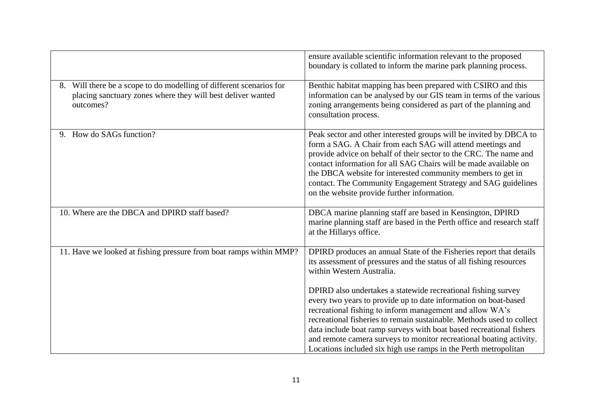|                                                                                                                                                 | ensure available scientific information relevant to the proposed<br>boundary is collated to inform the marine park planning process.                                                                                                                                                                                                                                                                                                                                                   |
|-------------------------------------------------------------------------------------------------------------------------------------------------|----------------------------------------------------------------------------------------------------------------------------------------------------------------------------------------------------------------------------------------------------------------------------------------------------------------------------------------------------------------------------------------------------------------------------------------------------------------------------------------|
| 8. Will there be a scope to do modelling of different scenarios for<br>placing sanctuary zones where they will best deliver wanted<br>outcomes? | Benthic habitat mapping has been prepared with CSIRO and this<br>information can be analysed by our GIS team in terms of the various<br>zoning arrangements being considered as part of the planning and<br>consultation process.                                                                                                                                                                                                                                                      |
| 9. How do SAGs function?                                                                                                                        | Peak sector and other interested groups will be invited by DBCA to<br>form a SAG. A Chair from each SAG will attend meetings and<br>provide advice on behalf of their sector to the CRC. The name and<br>contact information for all SAG Chairs will be made available on<br>the DBCA website for interested community members to get in<br>contact. The Community Engagement Strategy and SAG guidelines<br>on the website provide further information.                               |
| 10. Where are the DBCA and DPIRD staff based?                                                                                                   | DBCA marine planning staff are based in Kensington, DPIRD<br>marine planning staff are based in the Perth office and research staff<br>at the Hillarys office.                                                                                                                                                                                                                                                                                                                         |
| 11. Have we looked at fishing pressure from boat ramps within MMP?                                                                              | DPIRD produces an annual State of the Fisheries report that details<br>its assessment of pressures and the status of all fishing resources<br>within Western Australia.                                                                                                                                                                                                                                                                                                                |
|                                                                                                                                                 | DPIRD also undertakes a statewide recreational fishing survey<br>every two years to provide up to date information on boat-based<br>recreational fishing to inform management and allow WA's<br>recreational fisheries to remain sustainable. Methods used to collect<br>data include boat ramp surveys with boat based recreational fishers<br>and remote camera surveys to monitor recreational boating activity.<br>Locations included six high use ramps in the Perth metropolitan |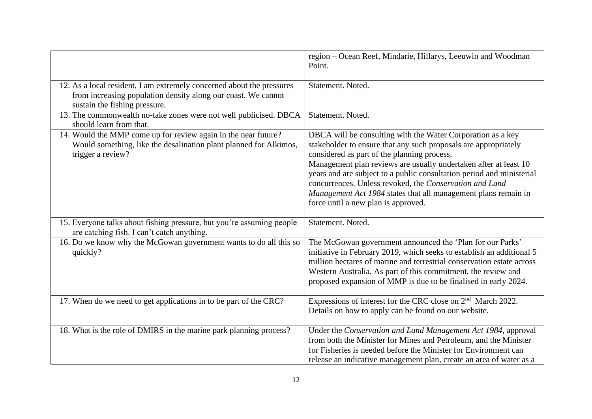|                                                                                                                                                                         | region - Ocean Reef, Mindarie, Hillarys, Leeuwin and Woodman<br>Point.                                                                                                                                                                                                                                                                                                                                                                                                                         |
|-------------------------------------------------------------------------------------------------------------------------------------------------------------------------|------------------------------------------------------------------------------------------------------------------------------------------------------------------------------------------------------------------------------------------------------------------------------------------------------------------------------------------------------------------------------------------------------------------------------------------------------------------------------------------------|
| 12. As a local resident, I am extremely concerned about the pressures<br>from increasing population density along our coast. We cannot<br>sustain the fishing pressure. | Statement. Noted.                                                                                                                                                                                                                                                                                                                                                                                                                                                                              |
| 13. The commonwealth no-take zones were not well publicised. DBCA<br>should learn from that.                                                                            | Statement. Noted.                                                                                                                                                                                                                                                                                                                                                                                                                                                                              |
| 14. Would the MMP come up for review again in the near future?<br>Would something, like the desalination plant planned for Alkimos,<br>trigger a review?                | DBCA will be consulting with the Water Corporation as a key<br>stakeholder to ensure that any such proposals are appropriately<br>considered as part of the planning process.<br>Management plan reviews are usually undertaken after at least 10<br>years and are subject to a public consultation period and ministerial<br>concurrences. Unless revoked, the Conservation and Land<br>Management Act 1984 states that all management plans remain in<br>force until a new plan is approved. |
| 15. Everyone talks about fishing pressure, but you're assuming people<br>are catching fish. I can't catch anything.                                                     | Statement. Noted.                                                                                                                                                                                                                                                                                                                                                                                                                                                                              |
| 16. Do we know why the McGowan government wants to do all this so<br>quickly?                                                                                           | The McGowan government announced the 'Plan for our Parks'<br>initiative in February 2019, which seeks to establish an additional 5<br>million hectares of marine and terrestrial conservation estate across<br>Western Australia. As part of this commitment, the review and<br>proposed expansion of MMP is due to be finalised in early 2024.                                                                                                                                                |
| 17. When do we need to get applications in to be part of the CRC?                                                                                                       | Expressions of interest for the CRC close on $2nd$ March 2022.<br>Details on how to apply can be found on our website.                                                                                                                                                                                                                                                                                                                                                                         |
| 18. What is the role of DMIRS in the marine park planning process?                                                                                                      | Under the Conservation and Land Management Act 1984, approval<br>from both the Minister for Mines and Petroleum, and the Minister<br>for Fisheries is needed before the Minister for Environment can<br>release an indicative management plan, create an area of water as a                                                                                                                                                                                                                    |